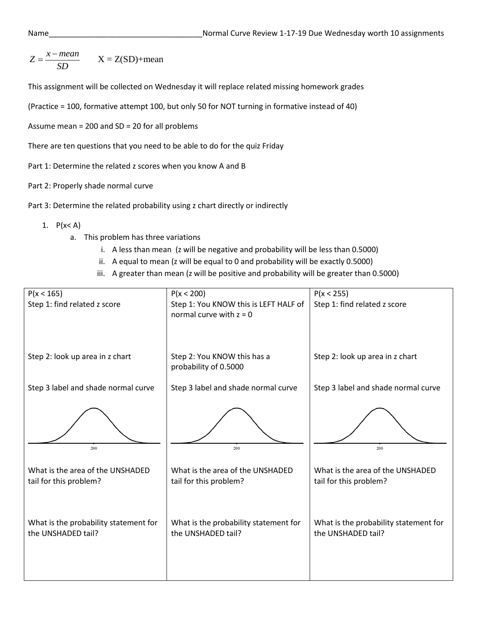$$
Z = \frac{x - mean}{SD} \qquad X = Z(SD) + mean
$$

This assignment will be collected on Wednesday it will replace related missing homework grades

(Practice = 100, formative attempt 100, but only 50 for NOT turning in formative instead of 40)

Assume mean = 200 and SD = 20 for all problems

There are ten questions that you need to be able to do for the quiz Friday

Part 1: Determine the related z scores when you know A and B

Part 2: Properly shade normal curve

Part 3: Determine the related probability using z chart directly or indirectly

- 1.  $P(x < A)$ 
	- a. This problem has three variations
		- i. A less than mean (z will be negative and probability will be less than 0.5000)
		- ii. A equal to mean (z will be equal to 0 and probability will be exactly 0.5000)
		- iii. A greater than mean (z will be positive and probability will be greater than 0.5000)

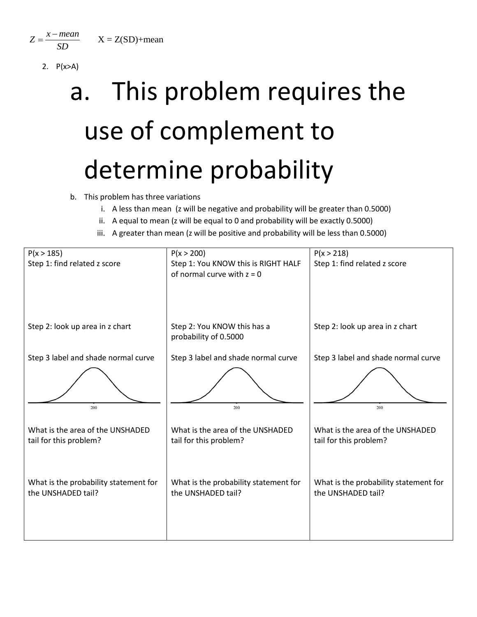$Z = \frac{x - mean}{Z}$   $X = Z(SD) + mean$ *SD*  $=\frac{x-1}{x-1}$ 

2. P(x>A)

## a. This problem requires the use of complement to determine probability

- b. This problem has three variations
	- i. A less than mean (z will be negative and probability will be greater than 0.5000)
	- ii. A equal to mean (z will be equal to 0 and probability will be exactly 0.5000)
	- iii. A greater than mean (z will be positive and probability will be less than 0.5000)

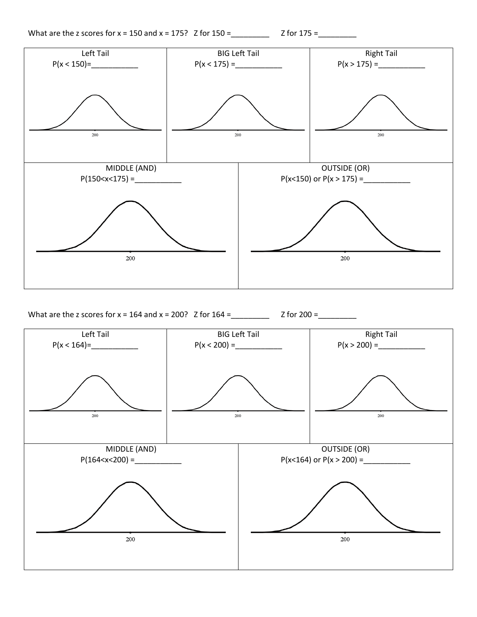



What are the z scores for x = 164 and x = 200? Z for 164 =\_\_\_\_\_\_\_\_\_ Z for 200 =\_\_\_\_\_\_\_\_\_

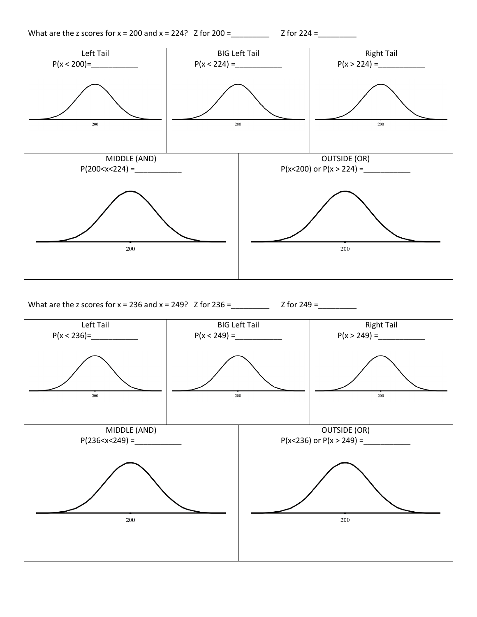What are the z scores for x = 200 and x = 224? Z for 200 =\_\_\_\_\_\_\_\_\_ Z for 224 =\_\_\_\_\_\_\_\_\_



What are the z scores for x = 236 and x = 249? Z for 236 =\_\_\_\_\_\_\_\_\_ Z for 249 =\_\_\_\_\_\_\_\_\_

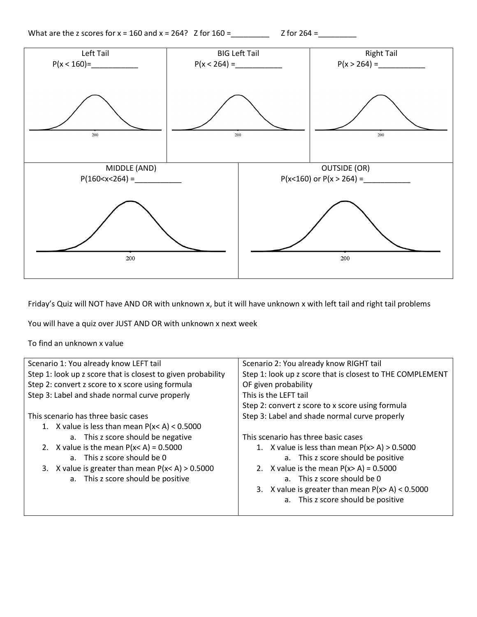What are the z scores for x = 160 and x = 264? Z for 160 =\_\_\_\_\_\_\_\_\_ Z for 264 =\_\_\_\_\_\_\_\_\_





Friday's Quiz will NOT have AND OR with unknown x, but it will have unknown x with left tail and right tail problems

You will have a quiz over JUST AND OR with unknown x next week

To find an unknown x value

| Scenario 1: You already know LEFT tail                       | Scenario 2: You already know RIGHT tail                   |  |
|--------------------------------------------------------------|-----------------------------------------------------------|--|
| Step 1: look up z score that is closest to given probability | Step 1: look up z score that is closest to THE COMPLEMENT |  |
| Step 2: convert z score to x score using formula             | OF given probability                                      |  |
| Step 3: Label and shade normal curve properly                | This is the LEFT tail                                     |  |
|                                                              | Step 2: convert z score to x score using formula          |  |
| This scenario has three basic cases                          | Step 3: Label and shade normal curve properly             |  |
| 1. X value is less than mean $P(x < A) < 0.5000$             |                                                           |  |
| a. This z score should be negative                           | This scenario has three basic cases                       |  |
| 2. X value is the mean $P(x < A) = 0.5000$                   | 1. X value is less than mean $P(x > A) > 0.5000$          |  |
| a. This z score should be $\theta$                           | a. This z score should be positive                        |  |
| 3. X value is greater than mean $P(x < A) > 0.5000$          | 2. X value is the mean $P(x > A) = 0.5000$                |  |
| a. This z score should be positive                           | a. This z score should be $\Omega$                        |  |
|                                                              | 3. X value is greater than mean $P(x > A) < 0.5000$       |  |
|                                                              | a. This z score should be positive                        |  |
|                                                              |                                                           |  |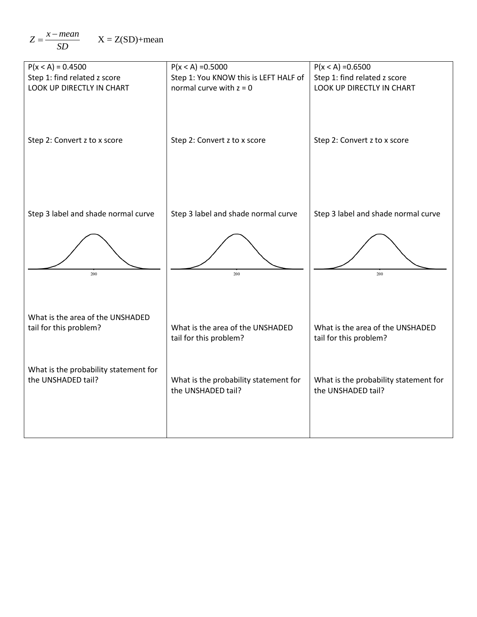$$
Z = \frac{x - mean}{SD} \qquad X = Z(SD) + mean
$$

| $P(x < A) = 0.4500$                                         | $P(x < A) = 0.5000$                                         | $P(x < A) = 0.6500$                                         |
|-------------------------------------------------------------|-------------------------------------------------------------|-------------------------------------------------------------|
| Step 1: find related z score                                | Step 1: You KNOW this is LEFT HALF of                       | Step 1: find related z score                                |
| LOOK UP DIRECTLY IN CHART                                   | normal curve with $z = 0$                                   | LOOK UP DIRECTLY IN CHART                                   |
| Step 2: Convert z to x score                                | Step 2: Convert z to x score                                | Step 2: Convert z to x score                                |
| Step 3 label and shade normal curve                         | Step 3 label and shade normal curve                         | Step 3 label and shade normal curve                         |
| 200                                                         | 200                                                         | 200                                                         |
| What is the area of the UNSHADED<br>tail for this problem?  | What is the area of the UNSHADED<br>tail for this problem?  | What is the area of the UNSHADED<br>tail for this problem?  |
| What is the probability statement for<br>the UNSHADED tail? | What is the probability statement for<br>the UNSHADED tail? | What is the probability statement for<br>the UNSHADED tail? |
|                                                             |                                                             |                                                             |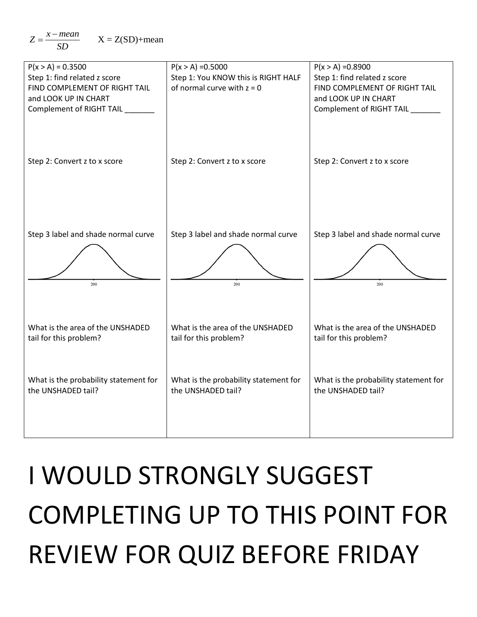$$
Z = \frac{x - mean}{SD} \qquad X = Z(SD) + mean
$$



## I WOULD STRONGLY SUGGEST COMPLETING UP TO THIS POINT FOR REVIEW FOR QUIZ BEFORE FRIDAY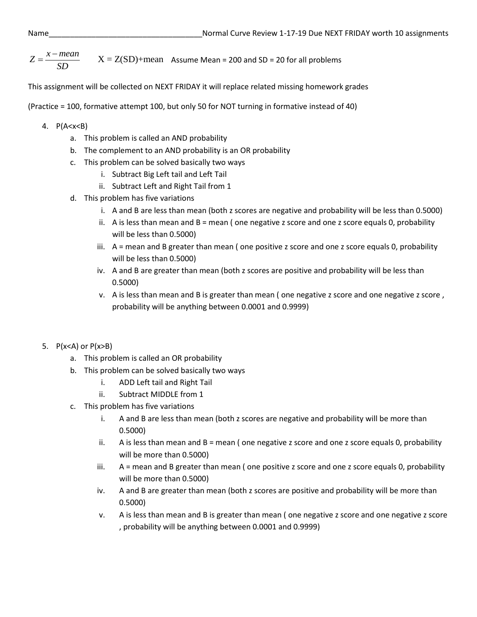$$
Z = \frac{x - mean}{SD}
$$
 X = Z(SD)+mean Assume Mean = 200 and SD = 20 for all problems

This assignment will be collected on NEXT FRIDAY it will replace related missing homework grades

(Practice = 100, formative attempt 100, but only 50 for NOT turning in formative instead of 40)

## 4. P(A<x<B)

- a. This problem is called an AND probability
- b. The complement to an AND probability is an OR probability
- c. This problem can be solved basically two ways
	- i. Subtract Big Left tail and Left Tail
	- ii. Subtract Left and Right Tail from 1
- d. This problem has five variations
	- i. A and B are less than mean (both z scores are negative and probability will be less than 0.5000)
	- ii. A is less than mean and  $B =$  mean (one negative z score and one z score equals 0, probability will be less than 0.5000)
	- iii. A = mean and B greater than mean ( one positive z score and one z score equals 0, probability will be less than 0.5000)
	- iv. A and B are greater than mean (both z scores are positive and probability will be less than 0.5000)
	- v. A is less than mean and B is greater than mean ( one negative z score and one negative z score , probability will be anything between 0.0001 and 0.9999)
- 5.  $P(x < A)$  or  $P(x > B)$ 
	- a. This problem is called an OR probability
	- b. This problem can be solved basically two ways
		- i. ADD Left tail and Right Tail
		- ii. Subtract MIDDLE from 1
	- c. This problem has five variations
		- i. A and B are less than mean (both z scores are negative and probability will be more than 0.5000)
		- ii. A is less than mean and  $B =$  mean (one negative z score and one z score equals 0, probability will be more than 0.5000)
		- iii.  $A$  = mean and B greater than mean ( one positive z score and one z score equals 0, probability will be more than 0.5000)
		- iv. A and B are greater than mean (both z scores are positive and probability will be more than 0.5000)
		- v. A is less than mean and B is greater than mean ( one negative z score and one negative z score , probability will be anything between 0.0001 and 0.9999)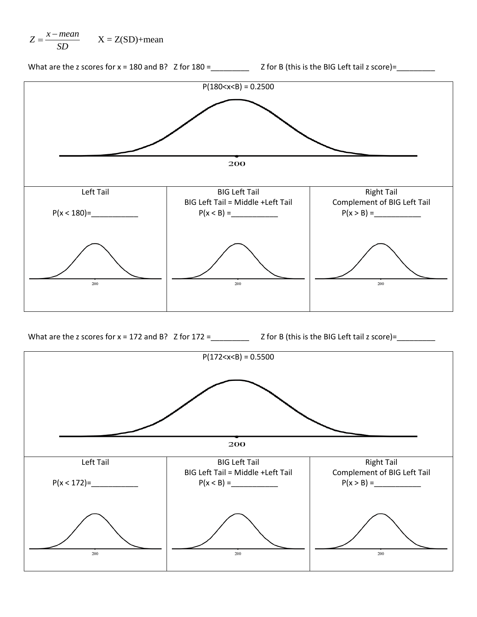



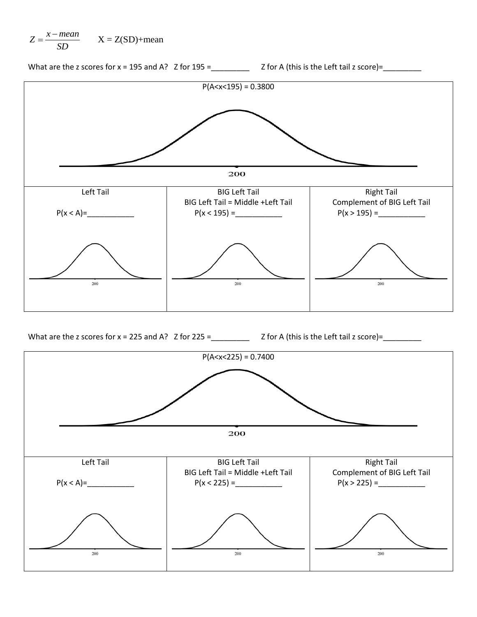$$
Z = \frac{x - mean}{SD} \qquad X = Z(SD) + mean
$$



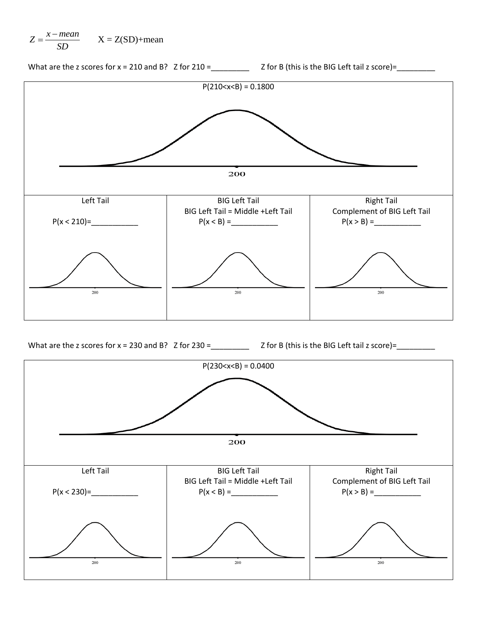$$
Z = \frac{x - mean}{SD} \qquad X = Z(SD) + mean
$$



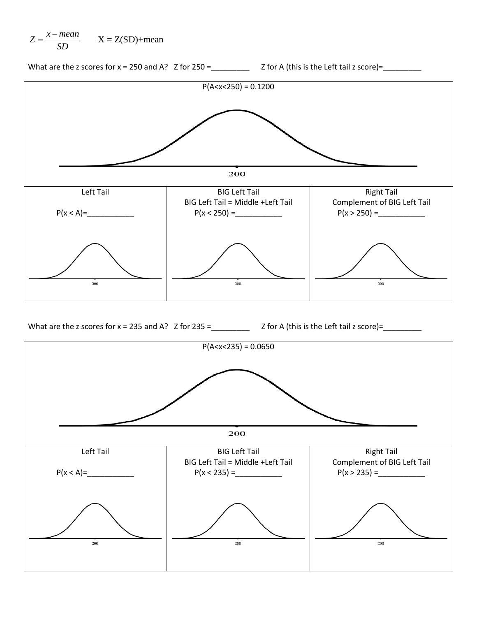$$
Z = \frac{x - mean}{SD} \qquad X = Z(SD) + mean
$$

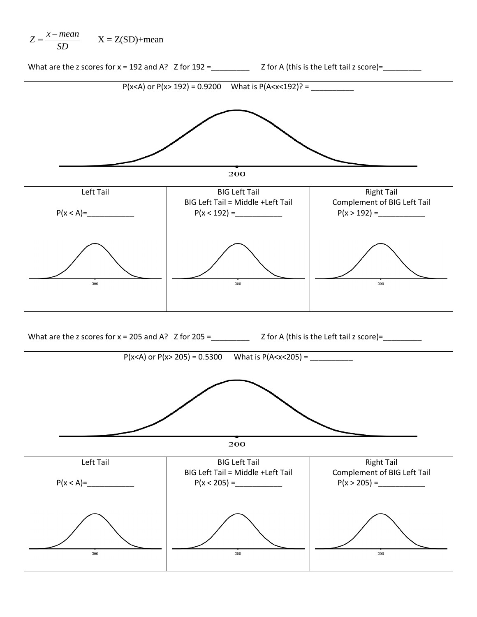$$
Z = \frac{x - mean}{SD} \qquad X = Z(SD) + mean
$$

What are the z scores for  $x = 192$  and A?  $Z$  for  $192 =$  \_\_\_\_\_\_\_\_\_  $Z$  for A (this is the Left tail z score)= \_\_\_\_\_\_\_



What are the z scores for  $x = 205$  and A?  $Z$  for  $205 =$  \_\_\_\_\_\_\_\_\_  $Z$  for A (this is the Left tail z score)= \_\_\_\_\_\_\_\_

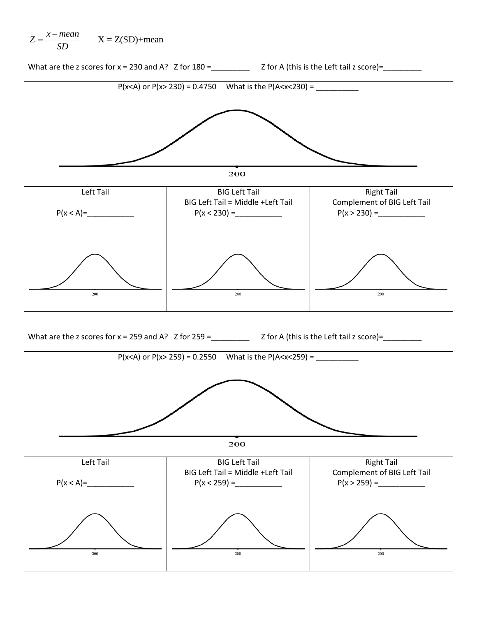

What are the z scores for  $x = 230$  and A?  $Z$  for  $180 =$  \_\_\_\_\_\_\_\_\_  $Z$  for A (this is the Left tail z score)= \_\_\_\_\_\_\_\_



What are the z scores for  $x = 259$  and A?  $Z$  for  $259 =$  \_\_\_\_\_\_\_\_\_  $Z$  for A (this is the Left tail z score)= \_\_\_\_\_\_\_\_

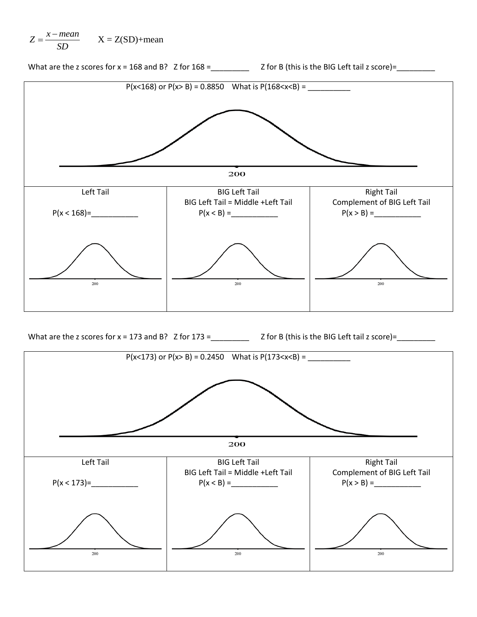$$
Z = \frac{x - mean}{SD} \qquad X = Z(SD) + mean
$$

What are the z scores for  $x = 168$  and B? Z for  $168 =$  \_\_\_\_\_\_\_\_\_ Z for B (this is the BIG Left tail z score)= \_\_\_\_\_\_\_\_



What are the z scores for  $x = 173$  and B?  $Z$  for  $173 =$  \_\_\_\_\_\_\_\_  $Z$  for B (this is the BIG Left tail z score)= \_\_\_\_\_\_\_\_\_\_